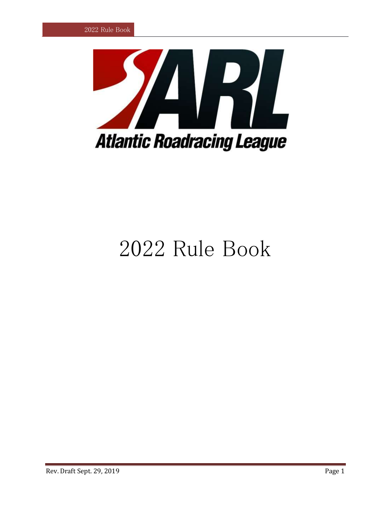

# Rule Book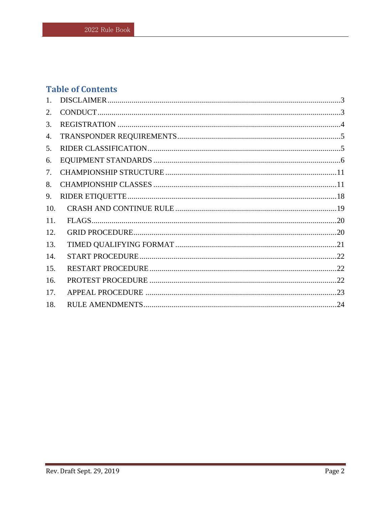# **Table of Contents**

| 1.  |  |
|-----|--|
| 2.  |  |
| 3.  |  |
| 4.  |  |
| 5.  |  |
| 6.  |  |
| 7.  |  |
| 8.  |  |
| 9.  |  |
| 10. |  |
| 11. |  |
| 12. |  |
| 13. |  |
| 14. |  |
| 15. |  |
| 16. |  |
| 17. |  |
| 18. |  |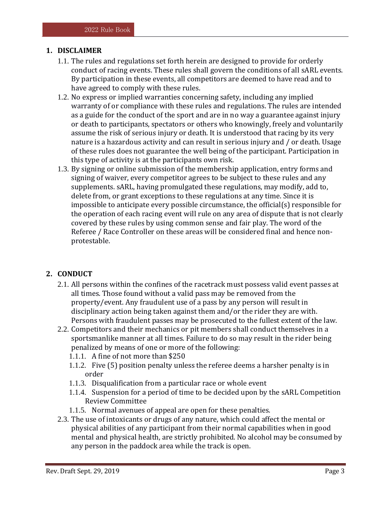# <span id="page-2-0"></span>**1. DISCLAIMER**

- 1.1. The rules and regulations set forth herein are designed to provide for orderly conduct of racing events. These rules shall govern the conditions of all sARL events. By participation in these events, all competitors are deemed to have read and to have agreed to comply with these rules.
- 1.2. No express or implied warranties concerning safety, including any implied warranty of or compliance with these rules and regulations. The rules are intended as a guide for the conduct of the sport and are in no way a guarantee against injury or death to participants, spectators or others who knowingly, freely and voluntarily assume the risk of serious injury or death. It is understood that racing by its very nature is a hazardous activity and can result in serious injury and / or death. Usage of these rules does not guarantee the well being of the participant. Participation in this type of activity is at the participants own risk.
- 1.3. By signing or online submission of the membership application, entry forms and signing of waiver, every competitor agrees to be subject to these rules and any supplements. sARL, having promulgated these regulations, may modify, add to, delete from, or grant exceptions to these regulations at any time. Since it is impossible to anticipate every possible circumstance, the official(s) responsible for the operation of each racing event will rule on any area of dispute that is not clearly covered by these rules by using common sense and fair play. The word of the Referee / Race Controller on these areas will be considered final and hence nonprotestable.

# <span id="page-2-1"></span>**2. CONDUCT**

- 2.1. All persons within the confines of the racetrack must possess valid event passes at all times. Those found without a valid pass may be removed from the property/event. Any fraudulent use of a pass by any person will result in disciplinary action being taken against them and/or the rider they are with. Persons with fraudulent passes may be prosecuted to the fullest extent of the law.
- 2.2. Competitors and their mechanics or pit members shall conduct themselves in a sportsmanlike manner at all times. Failure to do so may result in the rider being penalized by means of one or more of the following:
	- 1.1.1. A fine of not more than \$250
	- 1.1.2. Five (5) position penalty unless the referee deems a harsher penalty is in order
	- 1.1.3. Disqualification from a particular race or whole event
	- 1.1.4. Suspension for a period of time to be decided upon by the sARL Competition Review Committee
	- 1.1.5. Normal avenues of appeal are open for these penalties.
- 2.3. The use of intoxicants or drugs of any nature, which could affect the mental or physical abilities of any participant from their normal capabilities when in good mental and physical health, are strictly prohibited. No alcohol may be consumed by any person in the paddock area while the track is open.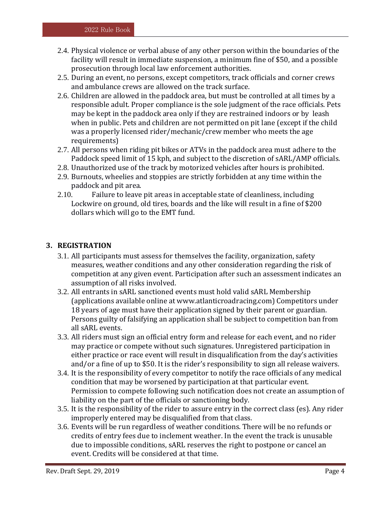- 2.4. Physical violence or verbal abuse of any other person within the boundaries of the facility will result in immediate suspension, a minimum fine of \$50, and a possible prosecution through local law enforcement authorities.
- 2.5. During an event, no persons, except competitors, track officials and corner crews and ambulance crews are allowed on the track surface.
- 2.6. Children are allowed in the paddock area, but must be controlled at all times by a responsible adult. Proper compliance is the sole judgment of the race officials. Pets may be kept in the paddock area only if they are restrained indoors or by leash when in public. Pets and children are not permitted on pit lane (except if the child was a properly licensed rider/mechanic/crew member who meets the age requirements)
- 2.7. All persons when riding pit bikes or ATVs in the paddock area must adhere to the Paddock speed limit of 15 kph, and subject to the discretion of sARL/AMP officials.
- 2.8. Unauthorized use of the track by motorized vehicles after hours is prohibited.
- 2.9. Burnouts, wheelies and stoppies are strictly forbidden at any time within the paddock and pit area.
- 2.10. Failure to leave pit areas in acceptable state of cleanliness, including Lockwire on ground, old tires, boards and the like will result in a fine of \$200 dollars which will go to the EMT fund.

# <span id="page-3-0"></span>**3. REGISTRATION**

- 3.1. All participants must assess for themselves the facility, organization, safety measures, weather conditions and any other consideration regarding the risk of competition at any given event. Participation after such an assessment indicates an assumption of all risks involved.
- 3.2. All entrants in sARL sanctioned events must hold valid sARL Membership (applications available online at www.atlanticroadracing.com) Competitors under 18 years of age must have their application signed by their parent or guardian. Persons guilty of falsifying an application shall be subject to competition ban from all sARL events.
- 3.3. All riders must sign an official entry form and release for each event, and no rider may practice or compete without such signatures. Unregistered participation in either practice or race event will result in disqualification from the day's activities and/or a fine of up to \$50. It is the rider's responsibility to sign all release waivers.
- 3.4. It is the responsibility of every competitor to notify the race officials of any medical condition that may be worsened by participation at that particular event. Permission to compete following such notification does not create an assumption of liability on the part of the officials or sanctioning body.
- 3.5. It is the responsibility of the rider to assure entry in the correct class (es). Any rider improperly entered may be disqualified from that class.
- 3.6. Events will be run regardless of weather conditions. There will be no refunds or credits of entry fees due to inclement weather. In the event the track is unusable due to impossible conditions, sARL reserves the right to postpone or cancel an event. Credits will be considered at that time.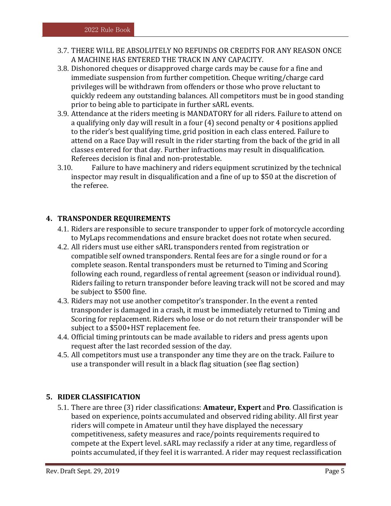- 3.7. THERE WILL BE ABSOLUTELY NO REFUNDS OR CREDITS FOR ANY REASON ONCE A MACHINE HAS ENTERED THE TRACK IN ANY CAPACITY.
- 3.8. Dishonored cheques or disapproved charge cards may be cause for a fine and immediate suspension from further competition. Cheque writing/charge card privileges will be withdrawn from offenders or those who prove reluctant to quickly redeem any outstanding balances. All competitors must be in good standing prior to being able to participate in further sARL events.
- 3.9. Attendance at the riders meeting is MANDATORY for all riders. Failure to attend on a qualifying only day will result in a four (4) second penalty or 4 positions applied to the rider's best qualifying time, grid position in each class entered. Failure to attend on a Race Day will result in the rider starting from the back of the grid in all classes entered for that day. Further infractions may result in disqualification. Referees decision is final and non-protestable.
- 3.10. Failure to have machinery and riders equipment scrutinized by the technical inspector may result in disqualification and a fine of up to \$50 at the discretion of the referee.

# <span id="page-4-0"></span>**4. TRANSPONDER REQUIREMENTS**

- 4.1. Riders are responsible to secure transponder to upper fork of motorcycle according to MyLaps recommendations and ensure bracket does not rotate when secured.
- 4.2. All riders must use either sARL transponders rented from registration or compatible self owned transponders. Rental fees are for a single round or for a complete season. Rental transponders must be returned to Timing and Scoring following each round, regardless of rental agreement (season or individual round). Riders failing to return transponder before leaving track will not be scored and may be subject to \$500 fine.
- 4.3. Riders may not use another competitor's transponder. In the event a rented transponder is damaged in a crash, it must be immediately returned to Timing and Scoring for replacement. Riders who lose or do not return their transponder will be subject to a \$500+HST replacement fee.
- 4.4. Official timing printouts can be made available to riders and press agents upon request after the last recorded session of the day.
- 4.5. All competitors must use a transponder any time they are on the track. Failure to use a transponder will result in a black flag situation (see flag section)

# <span id="page-4-1"></span>**5. RIDER CLASSIFICATION**

5.1. There are three (3) rider classifications: **Amateur, Expert** and **Pro**. Classification is based on experience, points accumulated and observed riding ability. All first year riders will compete in Amateur until they have displayed the necessary competitiveness, safety measures and race/points requirements required to compete at the Expert level. sARL may reclassify a rider at any time, regardless of points accumulated, if they feel it is warranted. A rider may request reclassification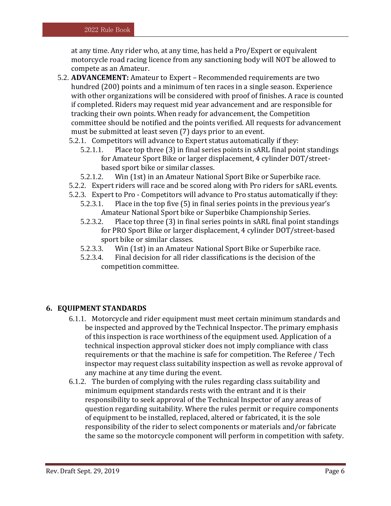at any time. Any rider who, at any time, has held a Pro/Expert or equivalent motorcycle road racing licence from any sanctioning body will NOT be allowed to compete as an Amateur.

- 5.2. **ADVANCEMENT:** Amateur to Expert Recommended requirements are two hundred (200) points and a minimum of ten races in a single season. Experience with other organizations will be considered with proof of finishes. A race is counted if completed. Riders may request mid year advancement and are responsible for tracking their own points. When ready for advancement, the Competition committee should be notified and the points verified. All requests for advancement must be submitted at least seven (7) days prior to an event.
	- 5.2.1. Competitors will advance to Expert status automatically if they:
		- 5.2.1.1. Place top three (3) in final series points in sARL final point standings for Amateur Sport Bike or larger displacement, 4 cylinder DOT/streetbased sport bike or similar classes.
		- 5.2.1.2. Win (1st) in an Amateur National Sport Bike or Superbike race.
	- 5.2.2. Expert riders will race and be scored along with Pro riders for sARL events.
	- 5.2.3. Expert to Pro Competitors will advance to Pro status automatically if they:
		- 5.2.3.1. Place in the top five (5) in final series points in the previous year's Amateur National Sport bike or Superbike Championship Series.
		- 5.2.3.2. Place top three (3) in final series points in sARL final point standings for PRO Sport Bike or larger displacement, 4 cylinder DOT/street-based sport bike or similar classes.
		- 5.2.3.3. Win (1st) in an Amateur National Sport Bike or Superbike race.
		- 5.2.3.4. Final decision for all rider classifications is the decision of the competition committee.

# <span id="page-5-0"></span>**6. EQUIPMENT STANDARDS**

- 6.1.1. Motorcycle and rider equipment must meet certain minimum standards and be inspected and approved by the Technical Inspector. The primary emphasis of this inspection is race worthiness of the equipment used. Application of a technical inspection approval sticker does not imply compliance with class requirements or that the machine is safe for competition. The Referee / Tech inspector may request class suitability inspection as well as revoke approval of any machine at any time during the event.
- 6.1.2. The burden of complying with the rules regarding class suitability and minimum equipment standards rests with the entrant and it is their responsibility to seek approval of the Technical Inspector of any areas of question regarding suitability. Where the rules permit or require components of equipment to be installed, replaced, altered or fabricated, it is the sole responsibility of the rider to select components or materials and/or fabricate the same so the motorcycle component will perform in competition with safety.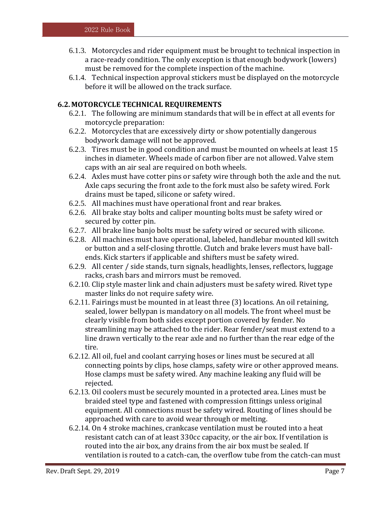- 6.1.3. Motorcycles and rider equipment must be brought to technical inspection in a race-ready condition. The only exception is that enough bodywork (lowers) must be removed for the complete inspection of the machine.
- 6.1.4. Technical inspection approval stickers must be displayed on the motorcycle before it will be allowed on the track surface.

# **6.2. MOTORCYCLE TECHNICAL REQUIREMENTS**

- 6.2.1. The following are minimum standards that will be in effect at all events for motorcycle preparation:
- 6.2.2. Motorcycles that are excessively dirty or show potentially dangerous bodywork damage will not be approved.
- 6.2.3. Tires must be in good condition and must be mounted on wheels at least 15 inches in diameter. Wheels made of carbon fiber are not allowed. Valve stem caps with an air seal are required on both wheels.
- 6.2.4. Axles must have cotter pins or safety wire through both the axle and the nut. Axle caps securing the front axle to the fork must also be safety wired. Fork drains must be taped, silicone or safety wired.
- 6.2.5. All machines must have operational front and rear brakes.
- 6.2.6. All brake stay bolts and caliper mounting bolts must be safety wired or secured by cotter pin.
- 6.2.7. All brake line banjo bolts must be safety wired or secured with silicone.
- 6.2.8. All machines must have operational, labeled, handlebar mounted kill switch or button and a self-closing throttle. Clutch and brake levers must have ballends. Kick starters if applicable and shifters must be safety wired.
- 6.2.9. All center / side stands, turn signals, headlights, lenses, reflectors, luggage racks, crash bars and mirrors must be removed.
- 6.2.10. Clip style master link and chain adjusters must be safety wired. Rivet type master links do not require safety wire.
- 6.2.11. Fairings must be mounted in at least three (3) locations. An oil retaining, sealed, lower bellypan is mandatory on all models. The front wheel must be clearly visible from both sides except portion covered by fender. No streamlining may be attached to the rider. Rear fender/seat must extend to a line drawn vertically to the rear axle and no further than the rear edge of the tire.
- 6.2.12. All oil, fuel and coolant carrying hoses or lines must be secured at all connecting points by clips, hose clamps, safety wire or other approved means. Hose clamps must be safety wired. Any machine leaking any fluid will be rejected.
- 6.2.13. Oil coolers must be securely mounted in a protected area. Lines must be braided steel type and fastened with compression fittings unless original equipment. All connections must be safety wired. Routing of lines should be approached with care to avoid wear through or melting.
- 6.2.14. On 4 stroke machines, crankcase ventilation must be routed into a heat resistant catch can of at least 330cc capacity, or the air box. If ventilation is routed into the air box, any drains from the air box must be sealed. If ventilation is routed to a catch-can, the overflow tube from the catch-can must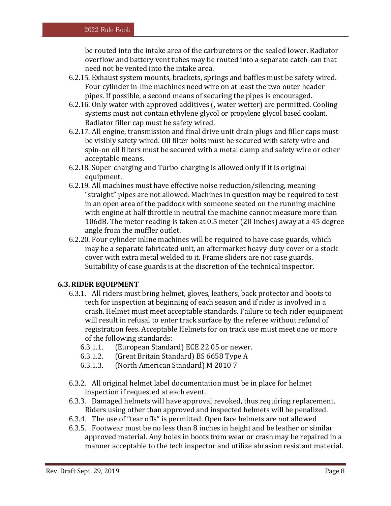be routed into the intake area of the carburetors or the sealed lower. Radiator overflow and battery vent tubes may be routed into a separate catch-can that need not be vented into the intake area.

- 6.2.15. Exhaust system mounts, brackets, springs and baffles must be safety wired. Four cylinder in-line machines need wire on at least the two outer header pipes. If possible, a second means of securing the pipes is encouraged.
- 6.2.16. Only water with approved additives (, water wetter) are permitted. Cooling systems must not contain ethylene glycol or propylene glycol based coolant. Radiator filler cap must be safety wired.
- 6.2.17. All engine, transmission and final drive unit drain plugs and filler caps must be visibly safety wired. Oil filter bolts must be secured with safety wire and spin-on oil filters must be secured with a metal clamp and safety wire or other acceptable means.
- 6.2.18. Super-charging and Turbo-charging is allowed only if it is original equipment.
- 6.2.19. All machines must have effective noise reduction/silencing, meaning "straight" pipes are not allowed. Machines in question may be required to test in an open area of the paddock with someone seated on the running machine with engine at half throttle in neutral the machine cannot measure more than 106dB. The meter reading is taken at 0.5 meter (20 Inches) away at a 45 degree angle from the muffler outlet.
- 6.2.20. Four cylinder inline machines will be required to have case guards, which may be a separate fabricated unit, an aftermarket heavy-duty cover or a stock cover with extra metal welded to it. Frame sliders are not case guards. Suitability of case guards is at the discretion of the technical inspector.

# **6.3.RIDER EQUIPMENT**

- 6.3.1. All riders must bring helmet, gloves, leathers, back protector and boots to tech for inspection at beginning of each season and if rider is involved in a crash. Helmet must meet acceptable standards. Failure to tech rider equipment will result in refusal to enter track surface by the referee without refund of registration fees. Acceptable Helmets for on track use must meet one or more of the following standards:
	- 6.3.1.1. (European Standard) ECE 22 05 or newer.
	- 6.3.1.2. (Great Britain Standard) BS 6658 Type A
	- 6.3.1.3. (North American Standard) M 2010 7
- 6.3.2. All original helmet label documentation must be in place for helmet inspection if requested at each event.
- 6.3.3. Damaged helmets will have approval revoked, thus requiring replacement. Riders using other than approved and inspected helmets will be penalized.
- 6.3.4. The use of "tear offs" is permitted. Open face helmets are not allowed
- 6.3.5. Footwear must be no less than 8 inches in height and be leather or similar approved material. Any holes in boots from wear or crash may be repaired in a manner acceptable to the tech inspector and utilize abrasion resistant material.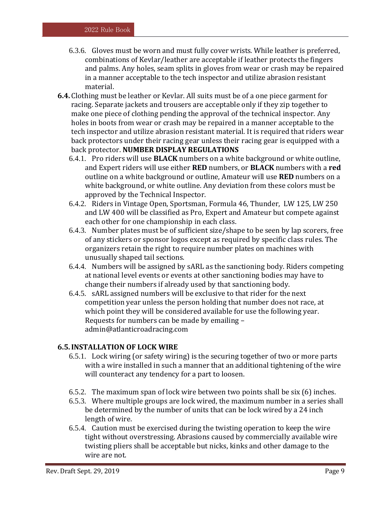- 6.3.6. Gloves must be worn and must fully cover wrists. While leather is preferred, combinations of Kevlar/leather are acceptable if leather protects the fingers and palms. Any holes, seam splits in gloves from wear or crash may be repaired in a manner acceptable to the tech inspector and utilize abrasion resistant material.
- **6.4.** Clothing must be leather or Kevlar. All suits must be of a one piece garment for racing. Separate jackets and trousers are acceptable only if they zip together to make one piece of clothing pending the approval of the technical inspector. Any holes in boots from wear or crash may be repaired in a manner acceptable to the tech inspector and utilize abrasion resistant material. It is required that riders wear back protectors under their racing gear unless their racing gear is equipped with a back protector. **NUMBER DISPLAY REGULATIONS** 
	- 6.4.1. Pro riders will use **BLACK** numbers on a white background or white outline, and Expert riders will use either **RED** numbers, or **BLACK** numbers with a **red** outline on a white background or outline, Amateur will use **RED** numbers on a white background, or white outline. Any deviation from these colors must be approved by the Technical Inspector.
	- 6.4.2. Riders in Vintage Open, Sportsman, Formula 46, Thunder, LW 125, LW 250 and LW 400 will be classified as Pro, Expert and Amateur but compete against each other for one championship in each class.
	- 6.4.3. Number plates must be of sufficient size/shape to be seen by lap scorers, free of any stickers or sponsor logos except as required by specific class rules. The organizers retain the right to require number plates on machines with unusually shaped tail sections.
	- 6.4.4. Numbers will be assigned by sARL as the sanctioning body. Riders competing at national level events or events at other sanctioning bodies may have to change their numbers if already used by that sanctioning body.
	- 6.4.5. sARL assigned numbers will be exclusive to that rider for the next competition year unless the person holding that number does not race, at which point they will be considered available for use the following year. Requests for numbers can be made by emailing – admin@atlanticroadracing.com

# **6.5.INSTALLATION OF LOCK WIRE**

- 6.5.1. Lock wiring (or safety wiring) is the securing together of two or more parts with a wire installed in such a manner that an additional tightening of the wire will counteract any tendency for a part to loosen.
- 6.5.2. The maximum span of lock wire between two points shall be six (6) inches.
- 6.5.3. Where multiple groups are lock wired, the maximum number in a series shall be determined by the number of units that can be lock wired by a 24 inch length of wire.
- 6.5.4. Caution must be exercised during the twisting operation to keep the wire tight without overstressing. Abrasions caused by commercially available wire twisting pliers shall be acceptable but nicks, kinks and other damage to the wire are not.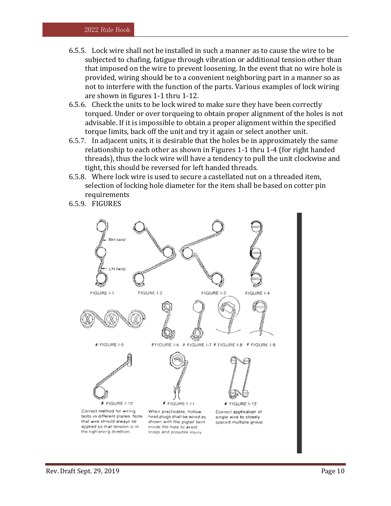- 6.5.5. Lock wire shall not be installed in such a manner as to cause the wire to be subjected to chafing, fatigue through vibration or additional tension other than that imposed on the wire to prevent loosening. In the event that no wire hole is provided, wiring should be to a convenient neighboring part in a manner so as not to interfere with the function of the parts. Various examples of lock wiring are shown in figures 1-1 thru 1-12.
- 6.5.6. Check the units to be lock wired to make sure they have been correctly torqued. Under or over torqueing to obtain proper alignment of the holes is not advisable. If it is impossible to obtain a proper alignment within the specified torque limits, back off the unit and try it again or select another unit.
- 6.5.7. In adjacent units, it is desirable that the holes be in approximately the same relationship to each other as shown in Figures 1-1 thru 1-4 (for right handed threads), thus the lock wire will have a tendency to pull the unit clockwise and tight, this should be reversed for left handed threads.
- 6.5.8. Where lock wire is used to secure a castellated nut on a threaded item, selection of locking hole diameter for the item shall be based on cotter pin requirements
- 6.5.9. FIGURES

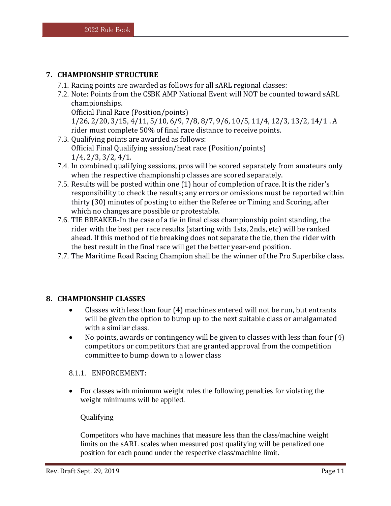# <span id="page-10-0"></span>**7. CHAMPIONSHIP STRUCTURE**

- 7.1. Racing points are awarded as follows for all sARL regional classes:
- 7.2. Note: Points from the CSBK AMP National Event will NOT be counted toward sARL championships. Official Final Race (Position/points)

1/26, 2/20, 3/15, 4/11, 5/10, 6/9, 7/8, 8/7, 9/6, 10/5, 11/4, 12/3, 13/2, 14/1 . A rider must complete 50% of final race distance to receive points.

- 7.3. Qualifying points are awarded as follows: Official Final Qualifying session/heat race (Position/points) 1/4, 2/3, 3/2, 4/1.
- 7.4. In combined qualifying sessions, pros will be scored separately from amateurs only when the respective championship classes are scored separately.
- 7.5. Results will be posted within one (1) hour of completion of race. It is the rider's responsibility to check the results; any errors or omissions must be reported within thirty (30) minutes of posting to either the Referee or Timing and Scoring, after which no changes are possible or protestable.
- 7.6. TIE BREAKER-In the case of a tie in final class championship point standing, the rider with the best per race results (starting with 1sts, 2nds, etc) will be ranked ahead. If this method of tie breaking does not separate the tie, then the rider with the best result in the final race will get the better year-end position.
- 7.7. The Maritime Road Racing Champion shall be the winner of the Pro Superbike class.

# <span id="page-10-1"></span>**8. CHAMPIONSHIP CLASSES**

- Classes with less than four (4) machines entered will not be run, but entrants will be given the option to bump up to the next suitable class or amalgamated with a similar class.
- No points, awards or contingency will be given to classes with less than four (4) competitors or competitors that are granted approval from the competition committee to bump down to a lower class

# 8.1.1. ENFORCEMENT:

 For classes with minimum weight rules the following penalties for violating the weight minimums will be applied.

# Qualifying

Competitors who have machines that measure less than the class/machine weight limits on the sARL scales when measured post qualifying will be penalized one position for each pound under the respective class/machine limit.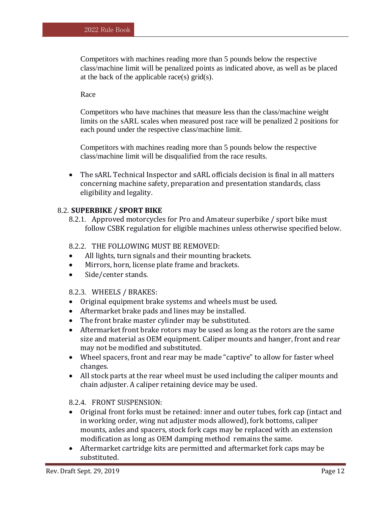Competitors with machines reading more than 5 pounds below the respective class/machine limit will be penalized points as indicated above, as well as be placed at the back of the applicable race(s)  $grid(s)$ .

#### Race

Competitors who have machines that measure less than the class/machine weight limits on the sARL scales when measured post race will be penalized 2 positions for each pound under the respective class/machine limit.

Competitors with machines reading more than 5 pounds below the respective class/machine limit will be disqualified from the race results.

 The sARL Technical Inspector and sARL officials decision is final in all matters concerning machine safety, preparation and presentation standards, class eligibility and legality.

#### 8.2. **SUPERBIKE / SPORT BIKE**

8.2.1. Approved motorcycles for Pro and Amateur superbike / sport bike must follow CSBK regulation for eligible machines unless otherwise specified below.

#### 8.2.2. THE FOLLOWING MUST BE REMOVED:

- All lights, turn signals and their mounting brackets.
- Mirrors, horn, license plate frame and brackets.
- Side/center stands.

#### 8.2.3. WHEELS / BRAKES:

- Original equipment brake systems and wheels must be used.
- Aftermarket brake pads and lines may be installed.
- The front brake master cylinder may be substituted.
- Aftermarket front brake rotors may be used as long as the rotors are the same size and material as OEM equipment. Caliper mounts and hanger, front and rear may not be modified and substituted.
- Wheel spacers, front and rear may be made "captive" to allow for faster wheel changes.
- All stock parts at the rear wheel must be used including the caliper mounts and chain adjuster. A caliper retaining device may be used.

#### 8.2.4. FRONT SUSPENSION:

- Original front forks must be retained: inner and outer tubes, fork cap (intact and in working order, wing nut adjuster mods allowed), fork bottoms, caliper mounts, axles and spacers, stock fork caps may be replaced with an extension modification as long as OEM damping method remains the same.
- Aftermarket cartridge kits are permitted and aftermarket fork caps may be substituted.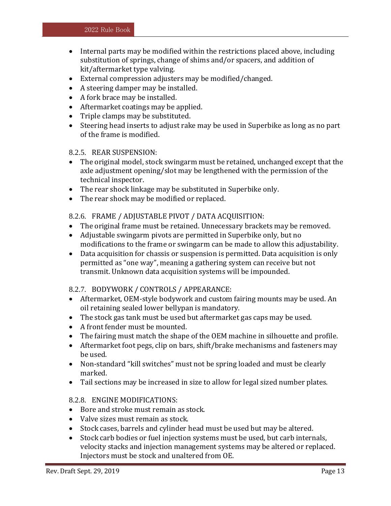- Internal parts may be modified within the restrictions placed above, including substitution of springs, change of shims and/or spacers, and addition of kit/aftermarket type valving.
- External compression adjusters may be modified/changed.
- A steering damper may be installed.
- A fork brace may be installed.
- Aftermarket coatings may be applied.
- Triple clamps may be substituted.
- Steering head inserts to adjust rake may be used in Superbike as long as no part of the frame is modified.

#### 8.2.5. REAR SUSPENSION:

- The original model, stock swingarm must be retained, unchanged except that the axle adjustment opening/slot may be lengthened with the permission of the technical inspector.
- The rear shock linkage may be substituted in Superbike only.
- The rear shock may be modified or replaced.

# 8.2.6. FRAME / ADJUSTABLE PIVOT / DATA ACQUISITION:

- The original frame must be retained. Unnecessary brackets may be removed.
- Adjustable swingarm pivots are permitted in Superbike only, but no modifications to the frame or swingarm can be made to allow this adjustability.
- Data acquisition for chassis or suspension is permitted. Data acquisition is only permitted as "one way", meaning a gathering system can receive but not transmit. Unknown data acquisition systems will be impounded.

# 8.2.7. BODYWORK / CONTROLS / APPEARANCE:

- Aftermarket, OEM-style bodywork and custom fairing mounts may be used. An oil retaining sealed lower bellypan is mandatory.
- The stock gas tank must be used but aftermarket gas caps may be used.
- A front fender must be mounted.
- The fairing must match the shape of the OEM machine in silhouette and profile.
- Aftermarket foot pegs, clip on bars, shift/brake mechanisms and fasteners may be used.
- Non-standard "kill switches" must not be spring loaded and must be clearly marked.
- Tail sections may be increased in size to allow for legal sized number plates.

# 8.2.8. ENGINE MODIFICATIONS:

- Bore and stroke must remain as stock.
- Valve sizes must remain as stock.
- Stock cases, barrels and cylinder head must be used but may be altered.
- Stock carb bodies or fuel injection systems must be used, but carb internals, velocity stacks and injection management systems may be altered or replaced. Injectors must be stock and unaltered from OE.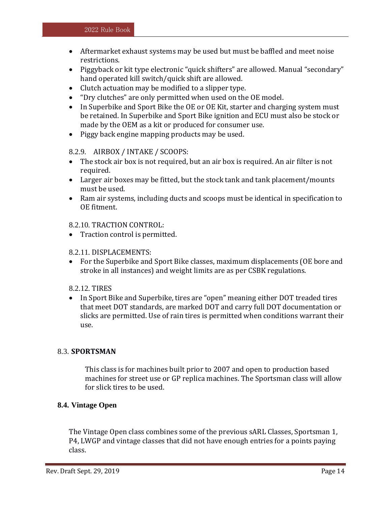- Aftermarket exhaust systems may be used but must be baffled and meet noise restrictions.
- Piggyback or kit type electronic "quick shifters" are allowed. Manual "secondary" hand operated kill switch/quick shift are allowed.
- Clutch actuation may be modified to a slipper type.
- "Dry clutches" are only permitted when used on the OE model.
- In Superbike and Sport Bike the OE or OE Kit, starter and charging system must be retained. In Superbike and Sport Bike ignition and ECU must also be stock or made by the OEM as a kit or produced for consumer use.
- Piggy back engine mapping products may be used.

#### 8.2.9. AIRBOX / INTAKE / SCOOPS:

- The stock air box is not required, but an air box is required. An air filter is not required.
- Larger air boxes may be fitted, but the stock tank and tank placement/mounts must be used.
- Ram air systems, including ducts and scoops must be identical in specification to OE fitment.

#### 8.2.10. TRACTION CONTROL:

• Traction control is permitted.

#### 8.2.11. DISPLACEMENTS:

 For the Superbike and Sport Bike classes, maximum displacements (OE bore and stroke in all instances) and weight limits are as per CSBK regulations.

#### 8.2.12. TIRES

• In Sport Bike and Superbike, tires are "open" meaning either DOT treaded tires that meet DOT standards, are marked DOT and carry full DOT documentation or slicks are permitted. Use of rain tires is permitted when conditions warrant their use.

#### 8.3. **SPORTSMAN**

This class is for machines built prior to 2007 and open to production based machines for street use or GP replica machines. The Sportsman class will allow for slick tires to be used.

#### **8.4. Vintage Open**

The Vintage Open class combines some of the previous sARL Classes, Sportsman 1, P4, LWGP and vintage classes that did not have enough entries for a points paying class.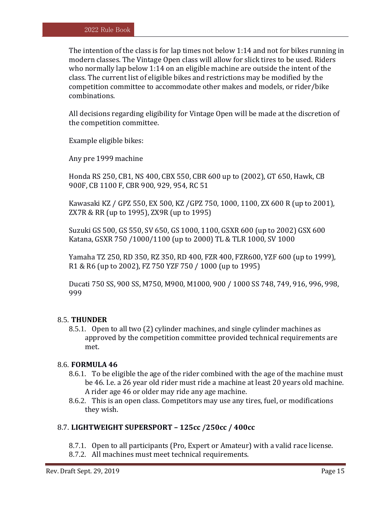The intention of the class is for lap times not below 1:14 and not for bikes running in modern classes. The Vintage Open class will allow for slick tires to be used. Riders who normally lap below 1:14 on an eligible machine are outside the intent of the class. The current list of eligible bikes and restrictions may be modified by the competition committee to accommodate other makes and models, or rider/bike combinations.

All decisions regarding eligibility for Vintage Open will be made at the discretion of the competition committee.

Example eligible bikes:

Any pre 1999 machine

Honda RS 250, CB1, NS 400, CBX 550, CBR 600 up to (2002), GT 650, Hawk, CB 900F, CB 1100 F, CBR 900, 929, 954, RC 51

Kawasaki KZ / GPZ 550, EX 500, KZ /GPZ 750, 1000, 1100, ZX 600 R (up to 2001), ZX7R & RR (up to 1995), ZX9R (up to 1995)

Suzuki GS 500, GS 550, SV 650, GS 1000, 1100, GSXR 600 (up to 2002) GSX 600 Katana, GSXR 750 /1000/1100 (up to 2000) TL & TLR 1000, SV 1000

Yamaha TZ 250, RD 350, RZ 350, RD 400, FZR 400, FZR600, YZF 600 (up to 1999), R1 & R6 (up to 2002), FZ 750 YZF 750 / 1000 (up to 1995)

Ducati 750 SS, 900 SS, M750, M900, M1000, 900 / 1000 SS 748, 749, 916, 996, 998, 999

#### 8.5. **THUNDER**

8.5.1. Open to all two (2) cylinder machines, and single cylinder machines as approved by the competition committee provided technical requirements are met.

#### 8.6. **FORMULA 46**

- 8.6.1. To be eligible the age of the rider combined with the age of the machine must be 46. I.e. a 26 year old rider must ride a machine at least 20 years old machine. A rider age 46 or older may ride any age machine.
- 8.6.2. This is an open class. Competitors may use any tires, fuel, or modifications they wish.

# 8.7. **LIGHTWEIGHT SUPERSPORT – 125cc /250cc / 400cc**

- 8.7.1. Open to all participants (Pro, Expert or Amateur) with a valid race license.
- 8.7.2. All machines must meet technical requirements.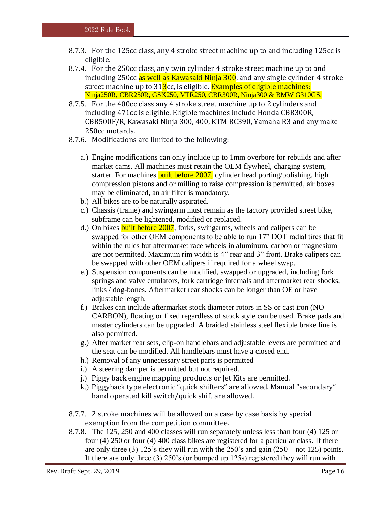- 8.7.3. For the 125cc class, any 4 stroke street machine up to and including 125cc is eligible.
- 8.7.4. For the 250cc class, any twin cylinder 4 stroke street machine up to and including 250cc as well as Kawasaki Ninja 300, and any single cylinder 4 stroke street machine up to  $31\frac{3}{2}$ cc, is eligible. Examples of eligible machines: Ninja250R, CBR250R, GSX250, VTR250, CBR300R, Ninja300 & BMW G310GS.
- 8.7.5. For the 400cc class any 4 stroke street machine up to 2 cylinders and including 471cc is eligible. Eligible machines include Honda CBR300R, CBR500F/R, Kawasaki Ninja 300, 400, KTM RC390, Yamaha R3 and any make 250cc motards.
- 8.7.6. Modifications are limited to the following:
	- a.) Engine modifications can only include up to 1mm overbore for rebuilds and after market cams. All machines must retain the OEM flywheel, charging system, starter. For machines **built before 2007**, cylinder head porting/polishing, high compression pistons and or milling to raise compression is permitted, air boxes may be eliminated, an air filter is mandatory.
	- b.) All bikes are to be naturally aspirated.
	- c.) Chassis (frame) and swingarm must remain as the factory provided street bike, subframe can be lightened, modified or replaced.
	- d.) On bikes **built before 2007**, forks, swingarms, wheels and calipers can be swapped for other OEM components to be able to run 17" DOT radial tires that fit within the rules but aftermarket race wheels in aluminum, carbon or magnesium are not permitted. Maximum rim width is 4" rear and 3" front. Brake calipers can be swapped with other OEM calipers if required for a wheel swap.
	- e.) Suspension components can be modified, swapped or upgraded, including fork springs and valve emulators, fork cartridge internals and aftermarket rear shocks, links / dog-bones. Aftermarket rear shocks can be longer than OE or have adjustable length.
	- f.) Brakes can include aftermarket stock diameter rotors in SS or cast iron (NO CARBON), floating or fixed regardless of stock style can be used. Brake pads and master cylinders can be upgraded. A braided stainless steel flexible brake line is also permitted.
	- g.) After market rear sets, clip-on handlebars and adjustable levers are permitted and the seat can be modified. All handlebars must have a closed end.
	- h.) Removal of any unnecessary street parts is permitted
	- i.) A steering damper is permitted but not required.
	- j.) Piggy back engine mapping products or Jet Kits are permitted.
	- k.) Piggyback type electronic "quick shifters" are allowed. Manual "secondary" hand operated kill switch/quick shift are allowed.
- 8.7.7. 2 stroke machines will be allowed on a case by case basis by special exemption from the competition committee.
- 8.7.8. The 125, 250 and 400 classes will run separately unless less than four (4) 125 or four (4) 250 or four (4) 400 class bikes are registered for a particular class. If there are only three (3) 125's they will run with the  $250$ 's and gain  $(250 - not 125)$  points. If there are only three (3) 250's (or bumped up 125s) registered they will run with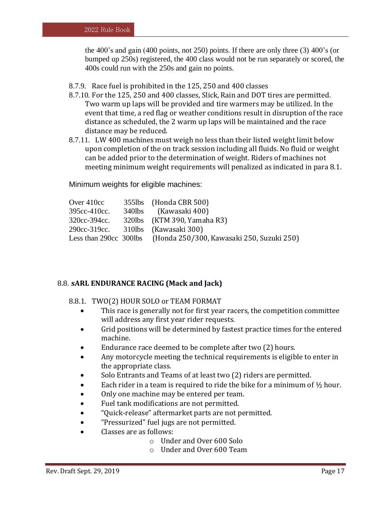the 400's and gain (400 points, not 250) points. If there are only three (3) 400's (or bumped up 250s) registered, the 400 class would not be run separately or scored, the 400s could run with the 250s and gain no points.

- 8.7.9. Race fuel is prohibited in the 125, 250 and 400 classes
- 8.7.10. For the 125, 250 and 400 classes, Slick, Rain and DOT tires are permitted. Two warm up laps will be provided and tire warmers may be utilized. In the event that time, a red flag or weather conditions result in disruption of the race distance as scheduled, the 2 warm up laps will be maintained and the race distance may be reduced.
- 8.7.11. LW 400 machines must weigh no less than their listed weight limit below upon completion of the on track session including all fluids. No fluid or weight can be added prior to the determination of weight. Riders of machines not meeting minimum weight requirements will penalized as indicated in para 8.1.

Minimum weights for eligible machines:

| Over 410cc   | 355lbs (Honda CBR 500)                                           |
|--------------|------------------------------------------------------------------|
| 395cc-410cc. | 340lbs (Kawasaki 400)                                            |
| 320cc-394cc. | 320lbs (KTM 390, Yamaha R3)                                      |
| 290cc-319cc. | 310lbs (Kawasaki 300)                                            |
|              | Less than 290cc 300lbs (Honda 250/300, Kawasaki 250, Suzuki 250) |

#### 8.8. **sARL ENDURANCE RACING (Mack and Jack)**

#### 8.8.1. TWO(2) HOUR SOLO or TEAM FORMAT

- This race is generally not for first year racers, the competition committee will address any first year rider requests.
- Grid positions will be determined by fastest practice times for the entered machine.
- Endurance race deemed to be complete after two (2) hours.
- Any motorcycle meeting the technical requirements is eligible to enter in the appropriate class.
- Solo Entrants and Teams of at least two (2) riders are permitted.
- Each rider in a team is required to ride the bike for a minimum of  $\frac{1}{2}$  hour.
- Only one machine may be entered per team.
- Fuel tank modifications are not permitted.
- "Quick-release" aftermarket parts are not permitted.
- "Pressurized" fuel jugs are not permitted.
- Classes are as follows:
	- o Under and Over 600 Solo
		- o Under and Over 600 Team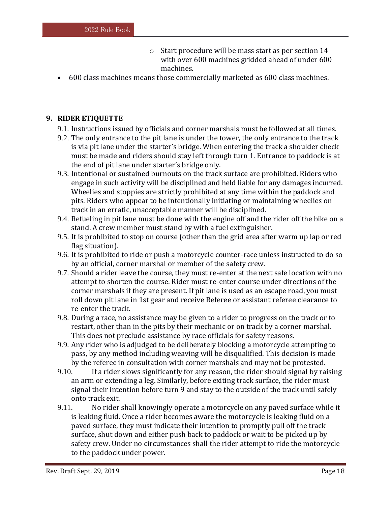- o Start procedure will be mass start as per section 14 with over 600 machines gridded ahead of under 600 machines.
- 600 class machines means those commercially marketed as 600 class machines.

# <span id="page-17-0"></span>**9. RIDER ETIQUETTE**

- 9.1. Instructions issued by officials and corner marshals must be followed at all times.
- 9.2. The only entrance to the pit lane is under the tower, the only entrance to the track is via pit lane under the starter's bridge. When entering the track a shoulder check must be made and riders should stay left through turn 1. Entrance to paddock is at the end of pit lane under starter's bridge only.
- 9.3. Intentional or sustained burnouts on the track surface are prohibited. Riders who engage in such activity will be disciplined and held liable for any damages incurred. Wheelies and stoppies are strictly prohibited at any time within the paddock and pits. Riders who appear to be intentionally initiating or maintaining wheelies on track in an erratic, unacceptable manner will be disciplined.
- 9.4. Refueling in pit lane must be done with the engine off and the rider off the bike on a stand. A crew member must stand by with a fuel extinguisher.
- 9.5. It is prohibited to stop on course (other than the grid area after warm up lap or red flag situation).
- 9.6. It is prohibited to ride or push a motorcycle counter-race unless instructed to do so by an official, corner marshal or member of the safety crew.
- 9.7. Should a rider leave the course, they must re-enter at the next safe location with no attempt to shorten the course. Rider must re-enter course under directions of the corner marshals if they are present. If pit lane is used as an escape road, you must roll down pit lane in 1st gear and receive Referee or assistant referee clearance to re-enter the track.
- 9.8. During a race, no assistance may be given to a rider to progress on the track or to restart, other than in the pits by their mechanic or on track by a corner marshal. This does not preclude assistance by race officials for safety reasons.
- 9.9. Any rider who is adjudged to be deliberately blocking a motorcycle attempting to pass, by any method including weaving will be disqualified. This decision is made by the referee in consultation with corner marshals and may not be protested.
- 9.10. If a rider slows significantly for any reason, the rider should signal by raising an arm or extending a leg. Similarly, before exiting track surface, the rider must signal their intention before turn 9 and stay to the outside of the track until safely onto track exit.
- 9.11. No rider shall knowingly operate a motorcycle on any paved surface while it is leaking fluid. Once a rider becomes aware the motorcycle is leaking fluid on a paved surface, they must indicate their intention to promptly pull off the track surface, shut down and either push back to paddock or wait to be picked up by safety crew. Under no circumstances shall the rider attempt to ride the motorcycle to the paddock under power.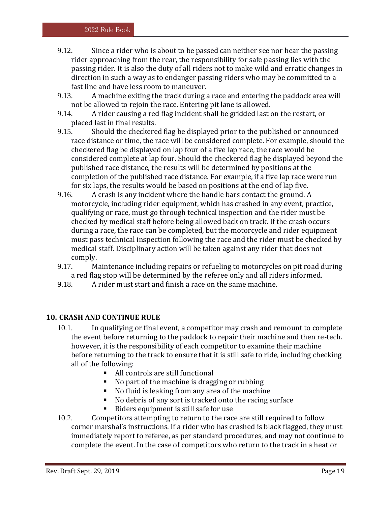- 9.12. Since a rider who is about to be passed can neither see nor hear the passing rider approaching from the rear, the responsibility for safe passing lies with the passing rider. It is also the duty of all riders not to make wild and erratic changes in direction in such a way as to endanger passing riders who may be committed to a fast line and have less room to maneuver.
- 9.13. A machine exiting the track during a race and entering the paddock area will not be allowed to rejoin the race. Entering pit lane is allowed.
- 9.14. A rider causing a red flag incident shall be gridded last on the restart, or placed last in final results.
- 9.15. Should the checkered flag be displayed prior to the published or announced race distance or time, the race will be considered complete. For example, should the checkered flag be displayed on lap four of a five lap race, the race would be considered complete at lap four. Should the checkered flag be displayed beyond the published race distance, the results will be determined by positions at the completion of the published race distance. For example, if a five lap race were run for six laps, the results would be based on positions at the end of lap five.
- 9.16. A crash is any incident where the handle bars contact the ground. A motorcycle, including rider equipment, which has crashed in any event, practice, qualifying or race, must go through technical inspection and the rider must be checked by medical staff before being allowed back on track. If the crash occurs during a race, the race can be completed, but the motorcycle and rider equipment must pass technical inspection following the race and the rider must be checked by medical staff. Disciplinary action will be taken against any rider that does not comply.
- 9.17. Maintenance including repairs or refueling to motorcycles on pit road during a red flag stop will be determined by the referee only and all riders informed.
- <span id="page-18-0"></span>9.18. A rider must start and finish a race on the same machine.

# **10. CRASH AND CONTINUE RULE**

- 10.1. In qualifying or final event, a competitor may crash and remount to complete the event before returning to the paddock to repair their machine and then re-tech. however, it is the responsibility of each competitor to examine their machine before returning to the track to ensure that it is still safe to ride, including checking all of the following:
	- All controls are still functional
	- No part of the machine is dragging or rubbing
	- No fluid is leaking from any area of the machine
	- No debris of any sort is tracked onto the racing surface
	- Riders equipment is still safe for use
- 10.2. Competitors attempting to return to the race are still required to follow corner marshal's instructions. If a rider who has crashed is black flagged, they must immediately report to referee, as per standard procedures, and may not continue to complete the event. In the case of competitors who return to the track in a heat or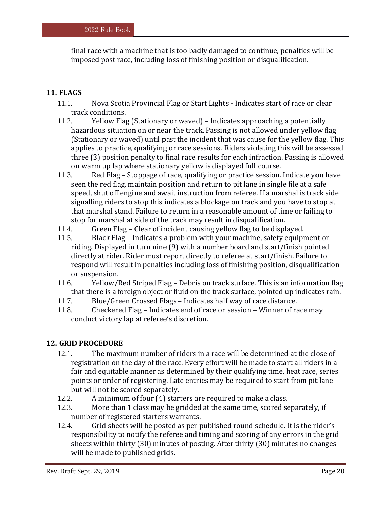final race with a machine that is too badly damaged to continue, penalties will be imposed post race, including loss of finishing position or disqualification.

# <span id="page-19-0"></span>**11. FLAGS**

- 11.1. Nova Scotia Provincial Flag or Start Lights Indicates start of race or clear track conditions.
- 11.2. Yellow Flag (Stationary or waved) Indicates approaching a potentially hazardous situation on or near the track. Passing is not allowed under yellow flag (Stationary or waved) until past the incident that was cause for the yellow flag. This applies to practice, qualifying or race sessions. Riders violating this will be assessed three (3) position penalty to final race results for each infraction. Passing is allowed on warm up lap where stationary yellow is displayed full course.
- 11.3. Red Flag Stoppage of race, qualifying or practice session. Indicate you have seen the red flag, maintain position and return to pit lane in single file at a safe speed, shut off engine and await instruction from referee. If a marshal is track side signalling riders to stop this indicates a blockage on track and you have to stop at that marshal stand. Failure to return in a reasonable amount of time or failing to stop for marshal at side of the track may result in disqualification.
- 11.4. Green Flag Clear of incident causing yellow flag to be displayed.
- 11.5. Black Flag Indicates a problem with your machine, safety equipment or riding. Displayed in turn nine (9) with a number board and start/finish pointed directly at rider. Rider must report directly to referee at start/finish. Failure to respond will result in penalties including loss of finishing position, disqualification or suspension.
- 11.6. Yellow/Red Striped Flag Debris on track surface. This is an information flag that there is a foreign object or fluid on the track surface, pointed up indicates rain.
- 11.7. Blue/Green Crossed Flags Indicates half way of race distance.
- <span id="page-19-1"></span>11.8. Checkered Flag – Indicates end of race or session – Winner of race may conduct victory lap at referee's discretion.

#### **12. GRID PROCEDURE**

- 12.1. The maximum number of riders in a race will be determined at the close of registration on the day of the race. Every effort will be made to start all riders in a fair and equitable manner as determined by their qualifying time, heat race, series points or order of registering. Late entries may be required to start from pit lane but will not be scored separately.
- 12.2. A minimum of four (4) starters are required to make a class.
- 12.3. More than 1 class may be gridded at the same time, scored separately, if number of registered starters warrants.
- 12.4. Grid sheets will be posted as per published round schedule. It is the rider's responsibility to notify the referee and timing and scoring of any errors in the grid sheets within thirty (30) minutes of posting. After thirty (30) minutes no changes will be made to published grids.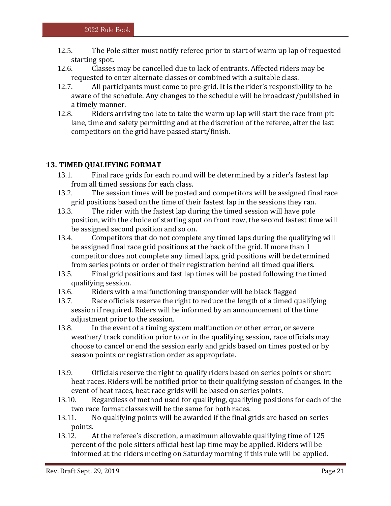- 12.5. The Pole sitter must notify referee prior to start of warm up lap of requested starting spot.
- 12.6. Classes may be cancelled due to lack of entrants. Affected riders may be requested to enter alternate classes or combined with a suitable class.
- 12.7. All participants must come to pre-grid. It is the rider's responsibility to be aware of the schedule. Any changes to the schedule will be broadcast/published in a timely manner.
- 12.8. Riders arriving too late to take the warm up lap will start the race from pit lane, time and safety permitting and at the discretion of the referee, after the last competitors on the grid have passed start/finish.

#### <span id="page-20-0"></span>**13. TIMED QUALIFYING FORMAT**

- 13.1. Final race grids for each round will be determined by a rider's fastest lap from all timed sessions for each class.
- 13.2. The session times will be posted and competitors will be assigned final race grid positions based on the time of their fastest lap in the sessions they ran.
- 13.3. The rider with the fastest lap during the timed session will have pole position, with the choice of starting spot on front row, the second fastest time will be assigned second position and so on.
- 13.4. Competitors that do not complete any timed laps during the qualifying will be assigned final race grid positions at the back of the grid. If more than 1 competitor does not complete any timed laps, grid positions will be determined from series points or order of their registration behind all timed qualifiers.
- 13.5. Final grid positions and fast lap times will be posted following the timed qualifying session.
- 13.6. Riders with a malfunctioning transponder will be black flagged
- 13.7. Race officials reserve the right to reduce the length of a timed qualifying session if required. Riders will be informed by an announcement of the time adjustment prior to the session.
- 13.8. In the event of a timing system malfunction or other error, or severe weather/ track condition prior to or in the qualifying session, race officials may choose to cancel or end the session early and grids based on times posted or by season points or registration order as appropriate.
- 13.9. Officials reserve the right to qualify riders based on series points or short heat races. Riders will be notified prior to their qualifying session of changes. In the event of heat races, heat race grids will be based on series points.
- 13.10. Regardless of method used for qualifying, qualifying positions for each of the two race format classes will be the same for both races.
- 13.11. No qualifying points will be awarded if the final grids are based on series points.
- 13.12. At the referee's discretion, a maximum allowable qualifying time of 125 percent of the pole sitters official best lap time may be applied. Riders will be informed at the riders meeting on Saturday morning if this rule will be applied.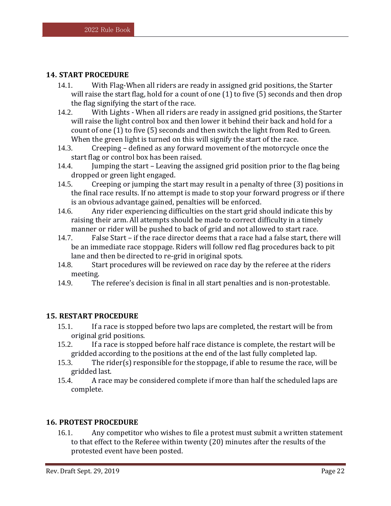# <span id="page-21-0"></span>**14. START PROCEDURE**

- 14.1. With Flag-When all riders are ready in assigned grid positions, the Starter will raise the start flag, hold for a count of one (1) to five (5) seconds and then drop the flag signifying the start of the race.
- 14.2. With Lights When all riders are ready in assigned grid positions, the Starter will raise the light control box and then lower it behind their back and hold for a count of one (1) to five (5) seconds and then switch the light from Red to Green. When the green light is turned on this will signify the start of the race.
- 14.3. Creeping defined as any forward movement of the motorcycle once the start flag or control box has been raised.
- 14.4. Jumping the start Leaving the assigned grid position prior to the flag being dropped or green light engaged.
- 14.5. Creeping or jumping the start may result in a penalty of three (3) positions in the final race results. If no attempt is made to stop your forward progress or if there is an obvious advantage gained, penalties will be enforced.
- 14.6. Any rider experiencing difficulties on the start grid should indicate this by raising their arm. All attempts should be made to correct difficulty in a timely manner or rider will be pushed to back of grid and not allowed to start race.
- 14.7. False Start if the race director deems that a race had a false start, there will be an immediate race stoppage. Riders will follow red flag procedures back to pit lane and then be directed to re-grid in original spots.
- 14.8. Start procedures will be reviewed on race day by the referee at the riders meeting.
- <span id="page-21-1"></span>14.9. The referee's decision is final in all start penalties and is non-protestable.

# **15. RESTART PROCEDURE**

- 15.1. If a race is stopped before two laps are completed, the restart will be from original grid positions.
- 15.2. If a race is stopped before half race distance is complete, the restart will be gridded according to the positions at the end of the last fully completed lap.
- 15.3. The rider(s) responsible for the stoppage, if able to resume the race, will be gridded last.
- 15.4. A race may be considered complete if more than half the scheduled laps are complete.

# <span id="page-21-2"></span>**16. PROTEST PROCEDURE**

16.1. Any competitor who wishes to file a protest must submit a written statement to that effect to the Referee within twenty (20) minutes after the results of the protested event have been posted.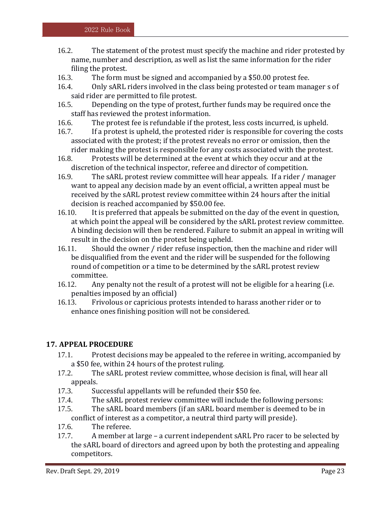- 16.2. The statement of the protest must specify the machine and rider protested by name, number and description, as well as list the same information for the rider filing the protest.
- 16.3. The form must be signed and accompanied by a \$50.00 protest fee.
- 16.4. Only sARL riders involved in the class being protested or team manager s of said rider are permitted to file protest.
- 16.5. Depending on the type of protest, further funds may be required once the staff has reviewed the protest information.
- 16.6. The protest fee is refundable if the protest, less costs incurred, is upheld.
- 16.7. If a protest is upheld, the protested rider is responsible for covering the costs associated with the protest; if the protest reveals no error or omission, then the rider making the protest is responsible for any costs associated with the protest.
- 16.8. Protests will be determined at the event at which they occur and at the discretion of the technical inspector, referee and director of competition.
- 16.9. The sARL protest review committee will hear appeals. If a rider / manager want to appeal any decision made by an event official, a written appeal must be received by the sARL protest review committee within 24 hours after the initial decision is reached accompanied by \$50.00 fee.
- 16.10. It is preferred that appeals be submitted on the day of the event in question, at which point the appeal will be considered by the sARL protest review committee. A binding decision will then be rendered. Failure to submit an appeal in writing will result in the decision on the protest being upheld.
- 16.11. Should the owner / rider refuse inspection, then the machine and rider will be disqualified from the event and the rider will be suspended for the following round of competition or a time to be determined by the sARL protest review committee.
- 16.12. Any penalty not the result of a protest will not be eligible for a hearing (i.e. penalties imposed by an official)
- 16.13. Frivolous or capricious protests intended to harass another rider or to enhance ones finishing position will not be considered.

# <span id="page-22-0"></span>**17. APPEAL PROCEDURE**

- 17.1. Protest decisions may be appealed to the referee in writing, accompanied by a \$50 fee, within 24 hours of the protest ruling.
- 17.2. The sARL protest review committee, whose decision is final, will hear all appeals.
- 17.3. Successful appellants will be refunded their \$50 fee.
- 17.4. The sARL protest review committee will include the following persons:
- 17.5. The sARL board members (if an sARL board member is deemed to be in conflict of interest as a competitor, a neutral third party will preside).
- 17.6. The referee.
- 17.7. A member at large a current independent sARL Pro racer to be selected by the sARL board of directors and agreed upon by both the protesting and appealing competitors.